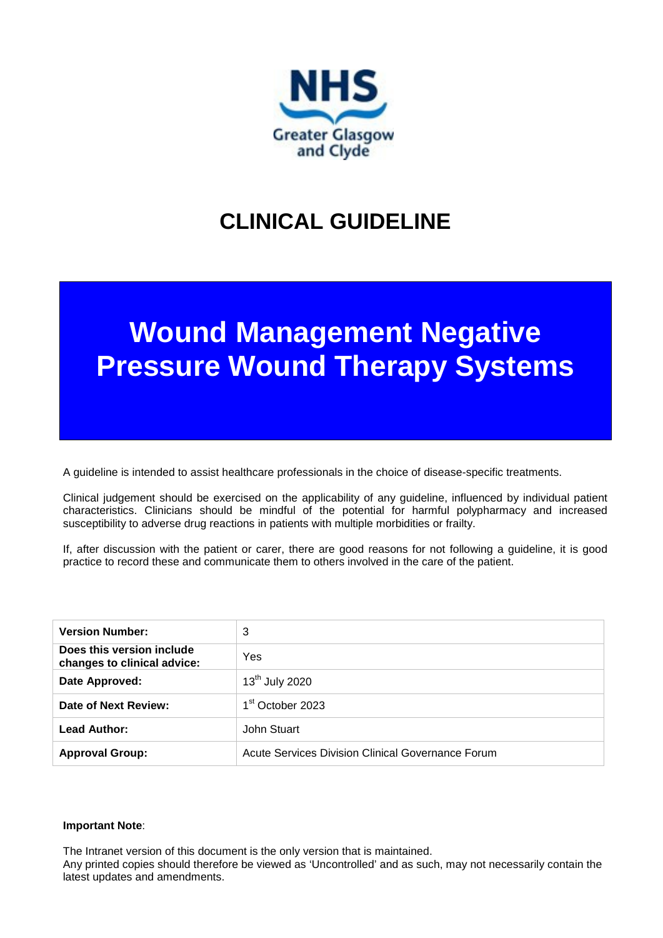

# **CLINICAL GUIDELINE**

# **Wound Management Negative Pressure Wound Therapy Systems**

A guideline is intended to assist healthcare professionals in the choice of disease-specific treatments.

Clinical judgement should be exercised on the applicability of any guideline, influenced by individual patient characteristics. Clinicians should be mindful of the potential for harmful polypharmacy and increased susceptibility to adverse drug reactions in patients with multiple morbidities or frailty.

If, after discussion with the patient or carer, there are good reasons for not following a guideline, it is good practice to record these and communicate them to others involved in the care of the patient.

| <b>Version Number:</b>                                   | 3                                                 |
|----------------------------------------------------------|---------------------------------------------------|
| Does this version include<br>changes to clinical advice: | Yes                                               |
| Date Approved:                                           | 13 <sup>th</sup> July 2020                        |
| Date of Next Review:                                     | 1 <sup>st</sup> October 2023                      |
| <b>Lead Author:</b>                                      | John Stuart                                       |
| <b>Approval Group:</b>                                   | Acute Services Division Clinical Governance Forum |

#### **Important Note**:

The Intranet version of this document is the only version that is maintained.

Any printed copies should therefore be viewed as 'Uncontrolled' and as such, may not necessarily contain the latest updates and amendments.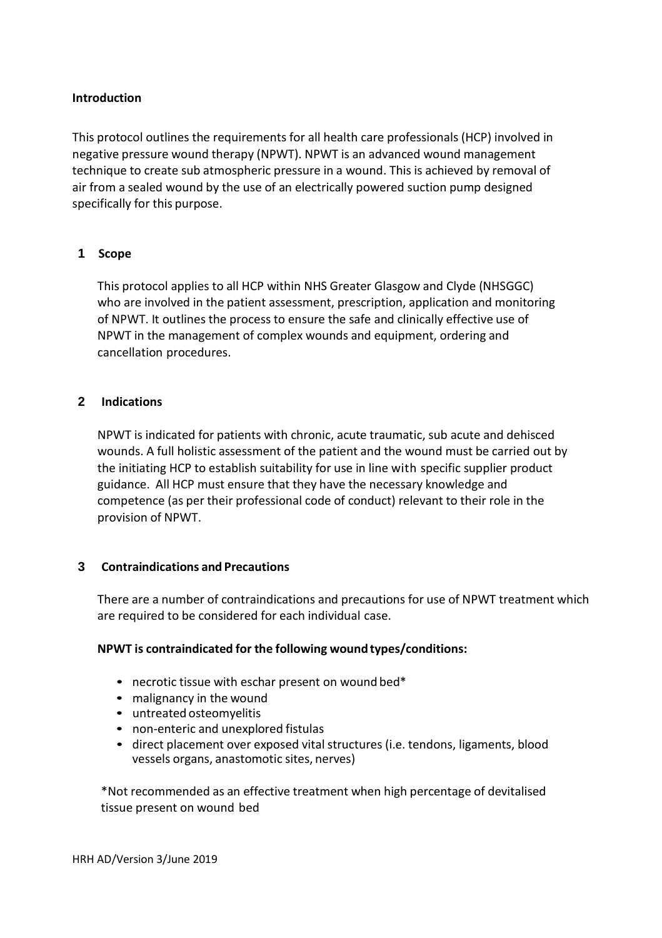#### **Introduction**

This protocol outlines the requirements for all health care professionals (HCP) involved in negative pressure wound therapy (NPWT). NPWT is an advanced wound management technique to create sub atmospheric pressure in a wound. This is achieved by removal of air from a sealed wound by the use of an electrically powered suction pump designed specifically for this purpose.

#### **1 Scope**

This protocol applies to all HCP within NHS Greater Glasgow and Clyde (NHSGGC) who are involved in the patient assessment, prescription, application and monitoring of NPWT. It outlines the process to ensure the safe and clinically effective use of NPWT in the management of complex wounds and equipment, ordering and cancellation procedures.

#### **2 Indications**

NPWT is indicated for patients with chronic, acute traumatic, sub acute and dehisced wounds. A full holistic assessment of the patient and the wound must be carried out by the initiating HCP to establish suitability for use in line with specific supplier product guidance. All HCP must ensure that they have the necessary knowledge and competence (as per their professional code of conduct) relevant to their role in the provision of NPWT.

#### **3 Contraindications and Precautions**

There are a number of contraindications and precautions for use of NPWT treatment which are required to be considered for each individual case.

#### **NPWT is contraindicated for the following woundtypes/conditions:**

- necrotic tissue with eschar present on wound bed\*
- malignancy in the wound
- untreated osteomyelitis
- non-enteric and unexplored fistulas
- direct placement over exposed vital structures (i.e. tendons, ligaments, blood vessels organs, anastomotic sites, nerves)

\*Not recommended as an effective treatment when high percentage of devitalised tissue present on wound bed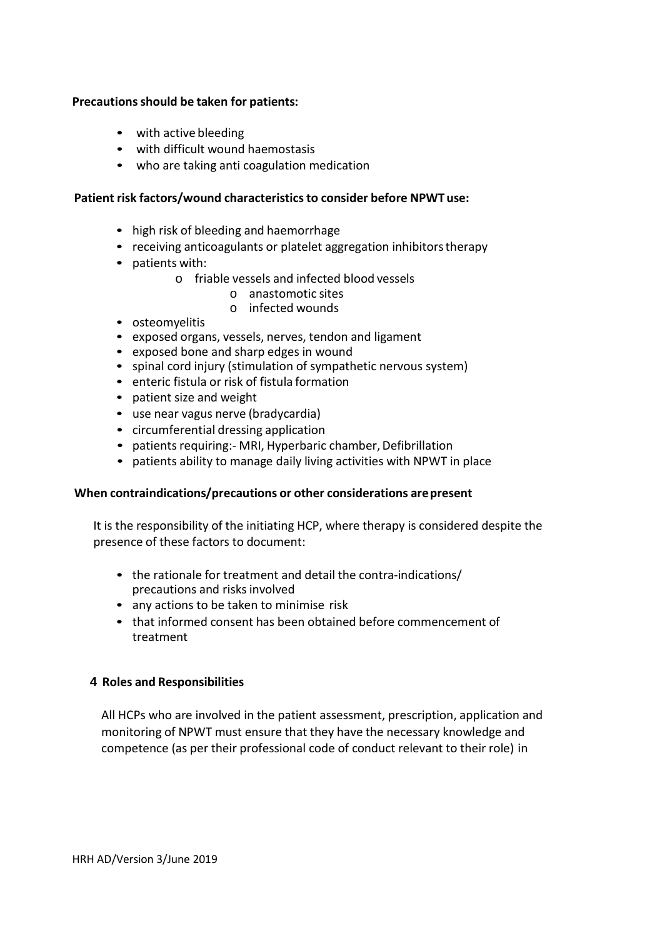#### **Precautionsshould be taken for patients:**

- with active bleeding
- with difficult wound haemostasis
- who are taking anti coagulation medication

#### **Patient risk factors/wound characteristicsto consider before NPWT use:**

- high risk of bleeding and haemorrhage
- receiving anticoagulants or platelet aggregation inhibitors therapy
- patients with:
	- o friable vessels and infected blood vessels
		- o anastomotic sites
		- o infected wounds
- osteomyelitis
- exposed organs, vessels, nerves, tendon and ligament
- exposed bone and sharp edges in wound
- spinal cord injury (stimulation of sympathetic nervous system)
- enteric fistula or risk of fistula formation
- patient size and weight
- use near vagus nerve (bradycardia)
- circumferential dressing application
- patients requiring: MRI, Hyperbaric chamber, Defibrillation
- patients ability to manage daily living activities with NPWT in place

#### **When contraindications/precautions or other considerations arepresent**

It is the responsibility of the initiating HCP, where therapy is considered despite the presence of these factors to document:

- the rationale for treatment and detail the contra-indications/ precautions and risks involved
- any actions to be taken to minimise risk
- that informed consent has been obtained before commencement of treatment

#### **4 Roles and Responsibilities**

All HCPs who are involved in the patient assessment, prescription, application and monitoring of NPWT must ensure that they have the necessary knowledge and competence (as per their professional code of conduct relevant to their role) in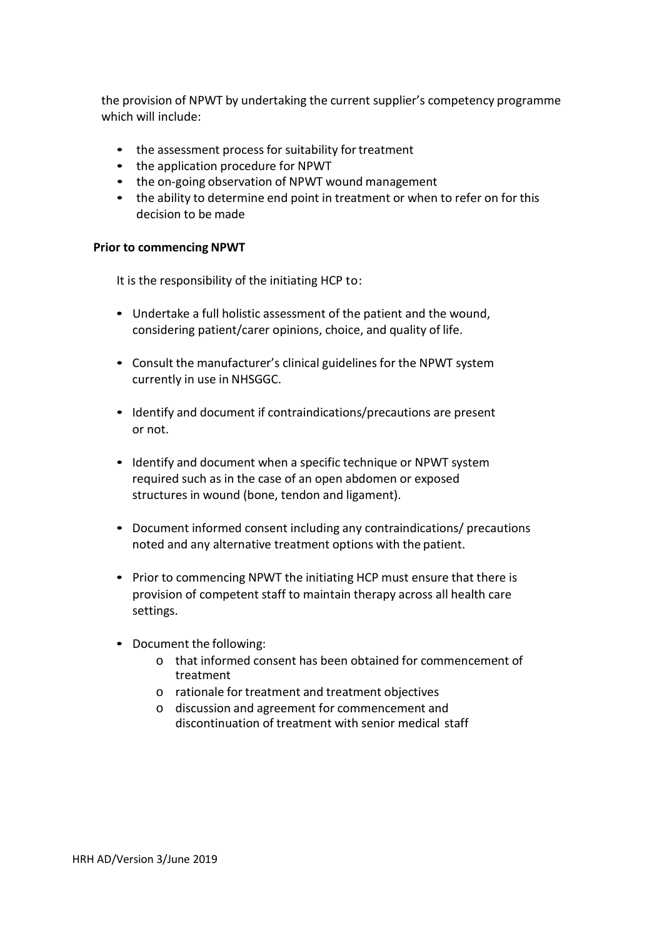the provision of NPWT by undertaking the current supplier's competency programme which will include:

- the assessment process for suitability for treatment
- the application procedure for NPWT
- the on-going observation of NPWT wound management
- the ability to determine end point in treatment or when to refer on for this decision to be made

#### **Prior to commencing NPWT**

It is the responsibility of the initiating HCP to:

- Undertake a full holistic assessment of the patient and the wound, considering patient/carer opinions, choice, and quality of life.
- Consult the manufacturer's clinical guidelines for the NPWT system currently in use in NHSGGC.
- Identify and document if contraindications/precautions are present or not.
- Identify and document when a specific technique or NPWT system required such as in the case of an open abdomen or exposed structures in wound (bone, tendon and ligament).
- Document informed consent including any contraindications/ precautions noted and any alternative treatment options with the patient.
- Prior to commencing NPWT the initiating HCP must ensure that there is provision of competent staff to maintain therapy across all health care settings.
- Document the following:
	- o that informed consent has been obtained for commencement of treatment
	- o rationale for treatment and treatment objectives
	- o discussion and agreement for commencement and discontinuation of treatment with senior medical staff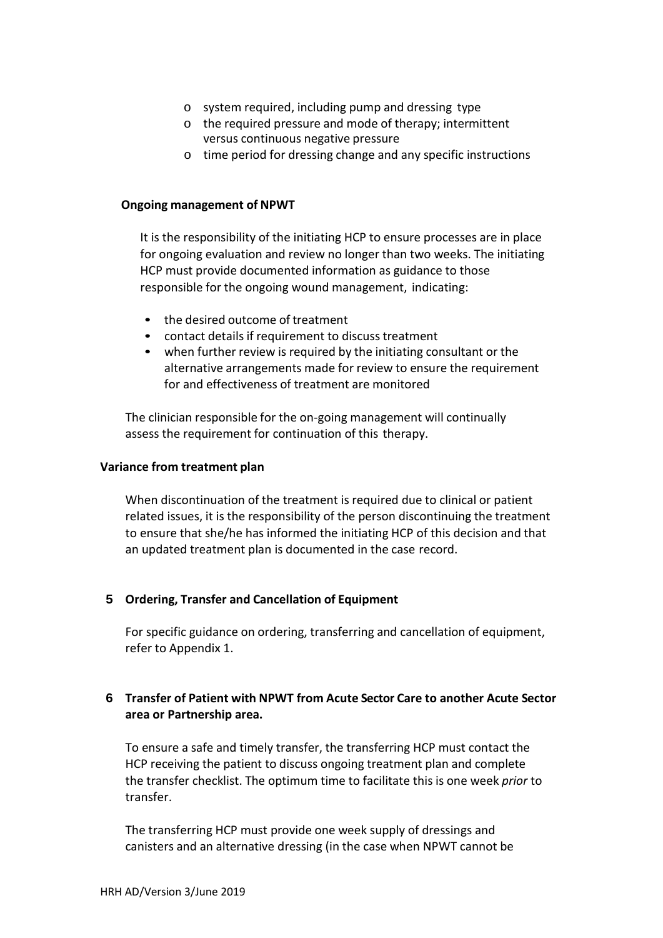- o system required, including pump and dressing type
- o the required pressure and mode of therapy; intermittent versus continuous negative pressure
- o time period for dressing change and any specific instructions

#### **Ongoing management of NPWT**

It is the responsibility of the initiating HCP to ensure processes are in place for ongoing evaluation and review no longer than two weeks. The initiating HCP must provide documented information as guidance to those responsible for the ongoing wound management, indicating:

- the desired outcome of treatment
- contact details if requirement to discuss treatment
- when further review is required by the initiating consultant or the alternative arrangements made for review to ensure the requirement for and effectiveness of treatment are monitored

The clinician responsible for the on-going management will continually assess the requirement for continuation of this therapy.

#### **Variance from treatment plan**

When discontinuation of the treatment is required due to clinical or patient related issues, it is the responsibility of the person discontinuing the treatment to ensure that she/he has informed the initiating HCP of this decision and that an updated treatment plan is documented in the case record.

#### **5 Ordering, Transfer and Cancellation of Equipment**

For specific guidance on ordering, transferring and cancellation of equipment, refer to Appendix 1.

#### **6 Transfer of Patient with NPWT from Acute Sector Care to another Acute Sector area or Partnership area.**

To ensure a safe and timely transfer, the transferring HCP must contact the HCP receiving the patient to discuss ongoing treatment plan and complete the transfer checklist. The optimum time to facilitate this is one week *prior* to transfer.

The transferring HCP must provide one week supply of dressings and canisters and an alternative dressing (in the case when NPWT cannot be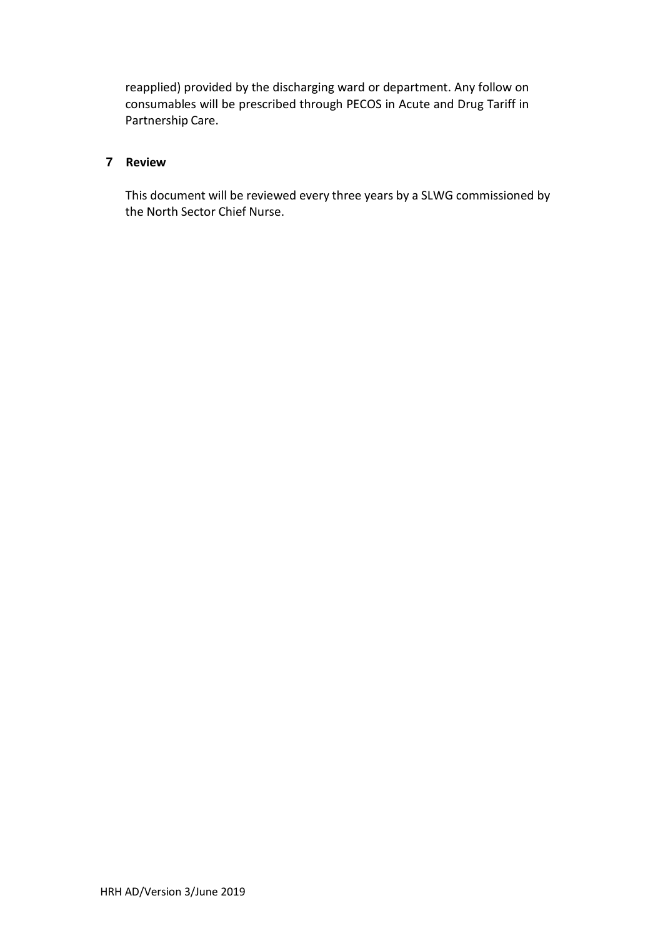reapplied) provided by the discharging ward or department. Any follow on consumables will be prescribed through PECOS in Acute and Drug Tariff in Partnership Care.

#### **7 Review**

This document will be reviewed every three years by a SLWG commissioned by the North Sector Chief Nurse.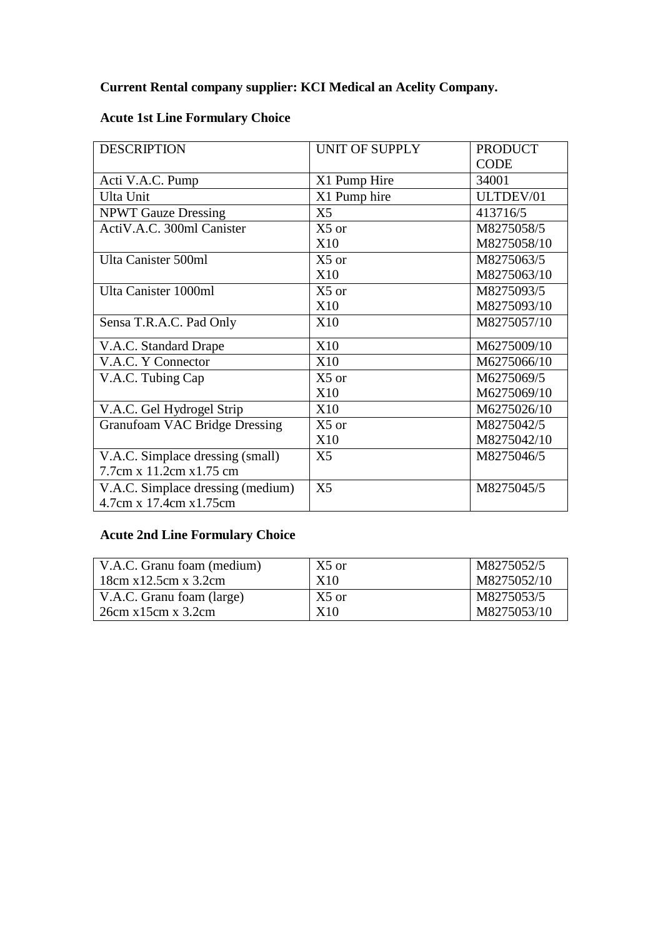## **Current Rental company supplier: KCI Medical an Acelity Company.**

| <b>DESCRIPTION</b>                                           | UNIT OF SUPPLY | <b>PRODUCT</b> |  |
|--------------------------------------------------------------|----------------|----------------|--|
|                                                              |                | <b>CODE</b>    |  |
| Acti V.A.C. Pump                                             | X1 Pump Hire   | 34001          |  |
| Ulta Unit                                                    | X1 Pump hire   | ULTDEV/01      |  |
| <b>NPWT Gauze Dressing</b>                                   | X <sub>5</sub> | 413716/5       |  |
| ActiV.A.C. 300ml Canister                                    | $X5$ or        | M8275058/5     |  |
|                                                              | <b>X10</b>     | M8275058/10    |  |
| Ulta Canister 500ml                                          | $X5$ or        | M8275063/5     |  |
|                                                              | X10            | M8275063/10    |  |
| Ulta Canister 1000ml                                         | $X5$ or        | M8275093/5     |  |
|                                                              | <b>X10</b>     | M8275093/10    |  |
| Sensa T.R.A.C. Pad Only                                      | X10            | M8275057/10    |  |
| V.A.C. Standard Drape                                        | <b>X10</b>     | M6275009/10    |  |
| V.A.C. Y Connector                                           | <b>X10</b>     | M6275066/10    |  |
| V.A.C. Tubing Cap                                            | $X5$ or        | M6275069/5     |  |
|                                                              | <b>X10</b>     | M6275069/10    |  |
| V.A.C. Gel Hydrogel Strip                                    | <b>X10</b>     | M6275026/10    |  |
| <b>Granufoam VAC Bridge Dressing</b>                         | X5 or          | M8275042/5     |  |
|                                                              | X10            | M8275042/10    |  |
| V.A.C. Simplace dressing (small)                             | X <sub>5</sub> | M8275046/5     |  |
| 7.7cm x 11.2cm x 1.75 cm                                     |                |                |  |
| V.A.C. Simplace dressing (medium)<br>4.7cm x 17.4cm x 1.75cm | X <sub>5</sub> | M8275045/5     |  |

### **Acute 1st Line Formulary Choice**

## **Acute 2nd Line Formulary Choice**

| V.A.C. Granu foam (medium) | $X5$ or | M8275052/5  |
|----------------------------|---------|-------------|
| 18cm x12.5cm x3.2cm        | X10     | M8275052/10 |
| V.A.C. Granu foam (large)  | $X5$ or | M8275053/5  |
| 26cm x15cm x3.2cm          | X10     | M8275053/10 |